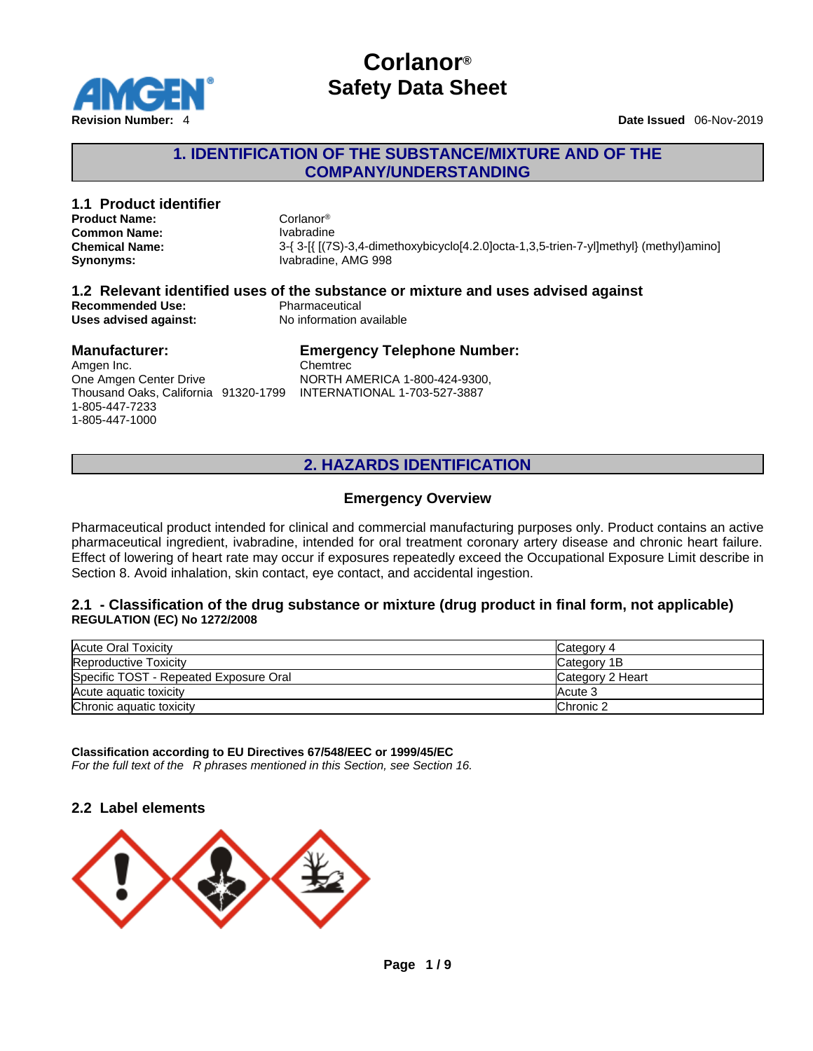

### **1. IDENTIFICATION OF THE SUBSTANCE/MIXTURE AND OF THE COMPANY/UNDERSTANDING**

#### **1.1 Product identifier 1.1 Product identifier** Corlang® **Product Name:** Corlanor<sup>®</sup><br> **Common Name:** Common Name: Common Name: **Common Name: Chemical Name:** 3-{ 3-[{ [(7S)-3,4-dimethoxybicyclo[4.2.0]octa-1,3,5-trien-7-yl]methyl} (methyl)amino] **Synonyms:** Ivabradine, AMG 998 **1.2 Relevant identified uses of the substance or mixture and uses advised against Recommended Use:**<br> **Uses advised against:**<br> **No information available Uses** advised against: **Manufacturer:** Amgen Inc. One Amgen Center Drive Thousand Oaks, California 91320-1799 INTERNATIONAL 1-703-527-3887 **Emergency Telephone Number:** Chemtrec NORTH AMERICA 1-800-424-9300,

1-805-447-7233 1-805-447-1000

# **2. HAZARDS IDENTIFICATION**

### **Emergency Overview**

Pharmaceutical product intended for clinical and commercial manufacturing purposes only. Product contains an active pharmaceutical ingredient, ivabradine, intended for oral treatment coronary artery disease and chronic heart failure. Effect of lowering of heart rate may occur if exposures repeatedly exceed the Occupational Exposure Limit describe in Section 8. Avoid inhalation, skin contact, eye contact, and accidental ingestion.

### **2.1 - Classification of the drug substance or mixture (drug product in final form, not applicable) REGULATION (EC) No 1272/2008**

| Acute Oral Toxicity                    | Category 4       |
|----------------------------------------|------------------|
| <b>Reproductive Toxicity</b>           | Category 1B      |
| Specific TOST - Repeated Exposure Oral | Category 2 Heart |
| Acute aguatic toxicity                 | <b>Acute 3</b>   |
| Chronic aquatic toxicity               | Chronic 2        |

**Classification according to EU Directives 67/548/EEC or 1999/45/EC** *For the full text of the R phrases mentioned in this Section, see Section 16.*

### **2.2 Label elements**

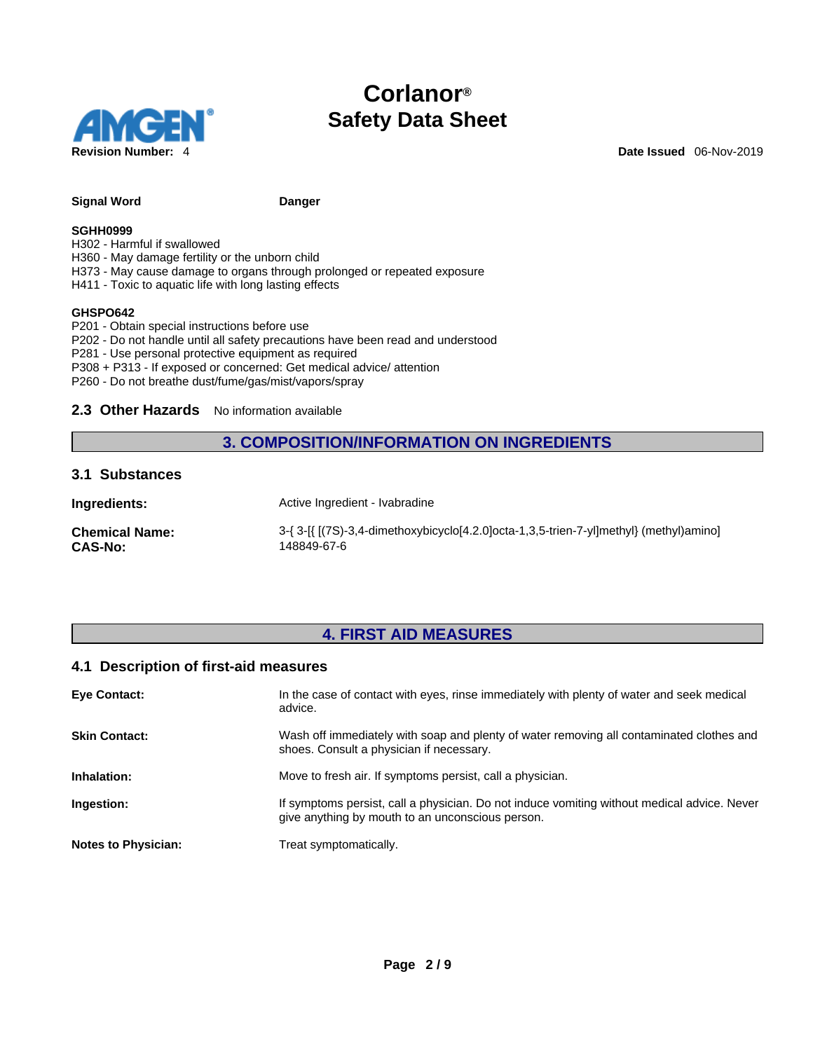

### Signal Word **Danger Danger**

#### **SGHH0999**

H302 - Harmful if swallowed

- H360 May damage fertility or the unborn child
- H373 May cause damage to organs through prolonged or repeated exposure
- H411 Toxic to aquatic life with long lasting effects

#### **GHSPO642**

- P201 Obtain special instructions before use
- P202 Do not handle until all safety precautions have been read and understood
- P281 Use personal protective equipment as required
- P308 + P313 If exposed or concerned: Get medical advice/ attention
- P260 Do not breathe dust/fume/gas/mist/vapors/spray

#### 2.3 Other Hazards No information available

### **3. COMPOSITION/INFORMATION ON INGREDIENTS**

### **3.1 Substances**

| Ingredients:          | Active Ingredient - Ivabradine                                                         |
|-----------------------|----------------------------------------------------------------------------------------|
| <b>Chemical Name:</b> | 3-{ 3-[{ [(7S)-3,4-dimethoxybicyclo[4.2.0]octa-1,3,5-trien-7-yl]methyl} (methyl)amino] |
| <b>CAS-No:</b>        | 148849-67-6                                                                            |

### **4. FIRST AID MEASURES**

### **4.1 Description of first-aid measures**

| <b>Eve Contact:</b>        | In the case of contact with eyes, rinse immediately with plenty of water and seek medical<br>advice.                                            |
|----------------------------|-------------------------------------------------------------------------------------------------------------------------------------------------|
| <b>Skin Contact:</b>       | Wash off immediately with soap and plenty of water removing all contaminated clothes and<br>shoes. Consult a physician if necessary.            |
| Inhalation:                | Move to fresh air. If symptoms persist, call a physician.                                                                                       |
| Ingestion:                 | If symptoms persist, call a physician. Do not induce vomiting without medical advice. Never<br>give anything by mouth to an unconscious person. |
| <b>Notes to Physician:</b> | Treat symptomatically.                                                                                                                          |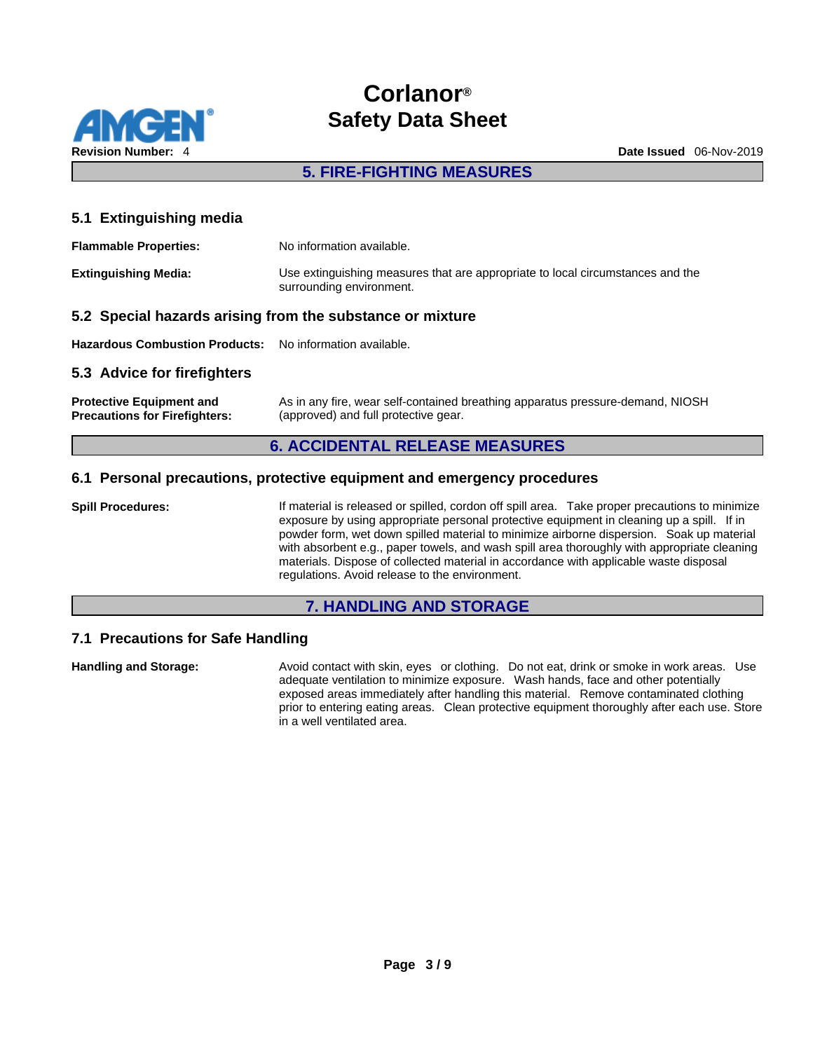

### **5. FIRE-FIGHTING MEASURES**

### **5.1 Extinguishing media**

| <b>Flammable Properties:</b> | No information available.                                                                                  |
|------------------------------|------------------------------------------------------------------------------------------------------------|
| <b>Extinguishing Media:</b>  | Use extinguishing measures that are appropriate to local circumstances and the<br>surrounding environment. |

### **5.2 Special hazards arising from the substance or mixture**

**Hazardous Combustion Products:** No information available.

### **5.3 Advice for firefighters**

| <b>Protective Equipment and</b>      | As in any fire, wear self-contained breathing apparatus pressure-demand, NIOSH |
|--------------------------------------|--------------------------------------------------------------------------------|
| <b>Precautions for Firefighters:</b> | (approved) and full protective gear.                                           |

### **6. ACCIDENTAL RELEASE MEASURES**

### **6.1 Personal precautions, protective equipment and emergency procedures**

**Spill Procedures:** If material is released or spilled, cordon off spill area. Take proper precautions to minimize exposure by using appropriate personal protective equipment in cleaning up a spill. If in powder form, wet down spilled material to minimize airborne dispersion. Soak up material with absorbent e.g., paper towels, and wash spill area thoroughly with appropriate cleaning materials. Dispose of collected material in accordance with applicable waste disposal regulations. Avoid release to the environment.

### **7. HANDLING AND STORAGE**

### **7.1 Precautions for Safe Handling**

**Handling and Storage:** Avoid contact with skin, eyes or clothing. Do not eat, drink or smoke in work areas. Use adequate ventilation to minimize exposure. Wash hands, face and other potentially exposed areas immediately after handling this material. Remove contaminated clothing prior to entering eating areas. Clean protective equipment thoroughly after each use. Store in a well ventilated area.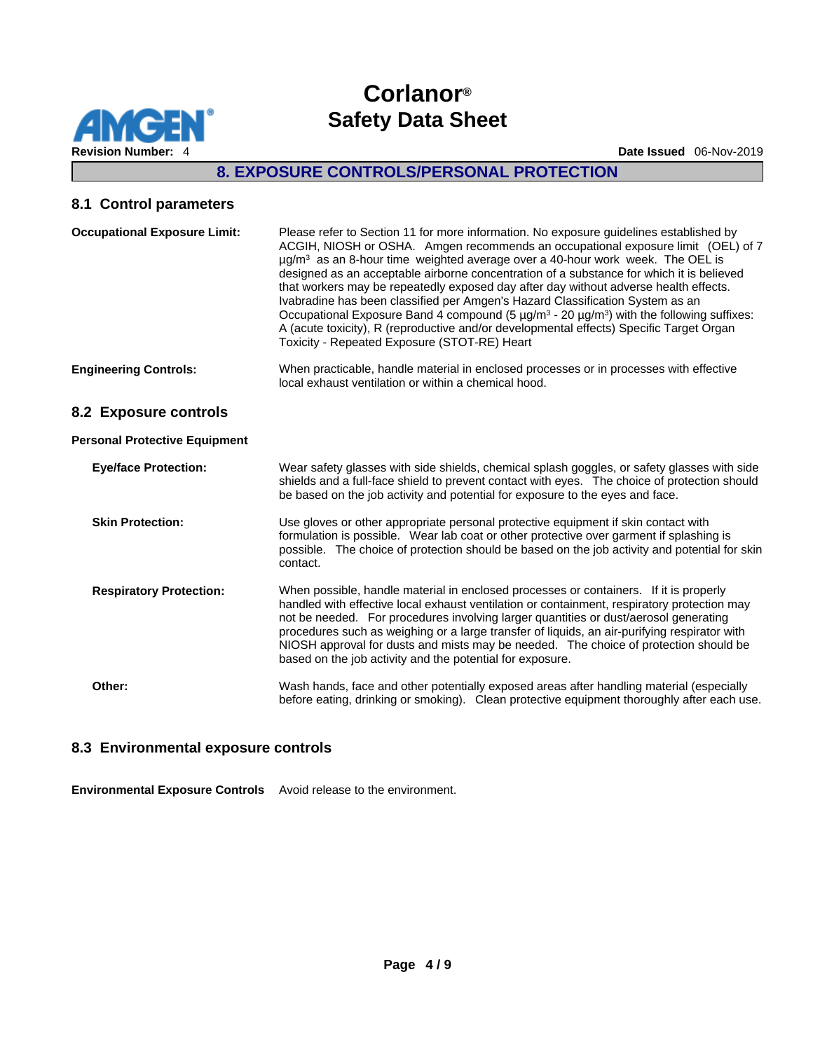

# **8. EXPOSURE CONTROLS/PERSONAL PROTECTION**

# **8.1 Control parameters**

| <b>Occupational Exposure Limit:</b>  | Please refer to Section 11 for more information. No exposure guidelines established by<br>ACGIH, NIOSH or OSHA. Amgen recommends an occupational exposure limit (OEL) of 7<br>$\mu$ g/m <sup>3</sup> as an 8-hour time weighted average over a 40-hour work week. The OEL is<br>designed as an acceptable airborne concentration of a substance for which it is believed<br>that workers may be repeatedly exposed day after day without adverse health effects.<br>Ivabradine has been classified per Amgen's Hazard Classification System as an<br>Occupational Exposure Band 4 compound (5 $\mu$ g/m <sup>3</sup> - 20 $\mu$ g/m <sup>3</sup> ) with the following suffixes:<br>A (acute toxicity), R (reproductive and/or developmental effects) Specific Target Organ<br>Toxicity - Repeated Exposure (STOT-RE) Heart |
|--------------------------------------|----------------------------------------------------------------------------------------------------------------------------------------------------------------------------------------------------------------------------------------------------------------------------------------------------------------------------------------------------------------------------------------------------------------------------------------------------------------------------------------------------------------------------------------------------------------------------------------------------------------------------------------------------------------------------------------------------------------------------------------------------------------------------------------------------------------------------|
| <b>Engineering Controls:</b>         | When practicable, handle material in enclosed processes or in processes with effective<br>local exhaust ventilation or within a chemical hood.                                                                                                                                                                                                                                                                                                                                                                                                                                                                                                                                                                                                                                                                             |
| 8.2 Exposure controls                |                                                                                                                                                                                                                                                                                                                                                                                                                                                                                                                                                                                                                                                                                                                                                                                                                            |
| <b>Personal Protective Equipment</b> |                                                                                                                                                                                                                                                                                                                                                                                                                                                                                                                                                                                                                                                                                                                                                                                                                            |
| <b>Eye/face Protection:</b>          | Wear safety glasses with side shields, chemical splash goggles, or safety glasses with side<br>shields and a full-face shield to prevent contact with eyes. The choice of protection should<br>be based on the job activity and potential for exposure to the eyes and face.                                                                                                                                                                                                                                                                                                                                                                                                                                                                                                                                               |
| <b>Skin Protection:</b>              | Use gloves or other appropriate personal protective equipment if skin contact with<br>formulation is possible. Wear lab coat or other protective over garment if splashing is<br>possible. The choice of protection should be based on the job activity and potential for skin<br>contact.                                                                                                                                                                                                                                                                                                                                                                                                                                                                                                                                 |
| <b>Respiratory Protection:</b>       | When possible, handle material in enclosed processes or containers. If it is properly<br>handled with effective local exhaust ventilation or containment, respiratory protection may<br>not be needed. For procedures involving larger quantities or dust/aerosol generating<br>procedures such as weighing or a large transfer of liquids, an air-purifying respirator with<br>NIOSH approval for dusts and mists may be needed. The choice of protection should be<br>based on the job activity and the potential for exposure.                                                                                                                                                                                                                                                                                          |
| Other:                               | Wash hands, face and other potentially exposed areas after handling material (especially<br>before eating, drinking or smoking). Clean protective equipment thoroughly after each use.                                                                                                                                                                                                                                                                                                                                                                                                                                                                                                                                                                                                                                     |

### **8.3 Environmental exposure controls**

**Environmental Exposure Controls** Avoid release to the environment.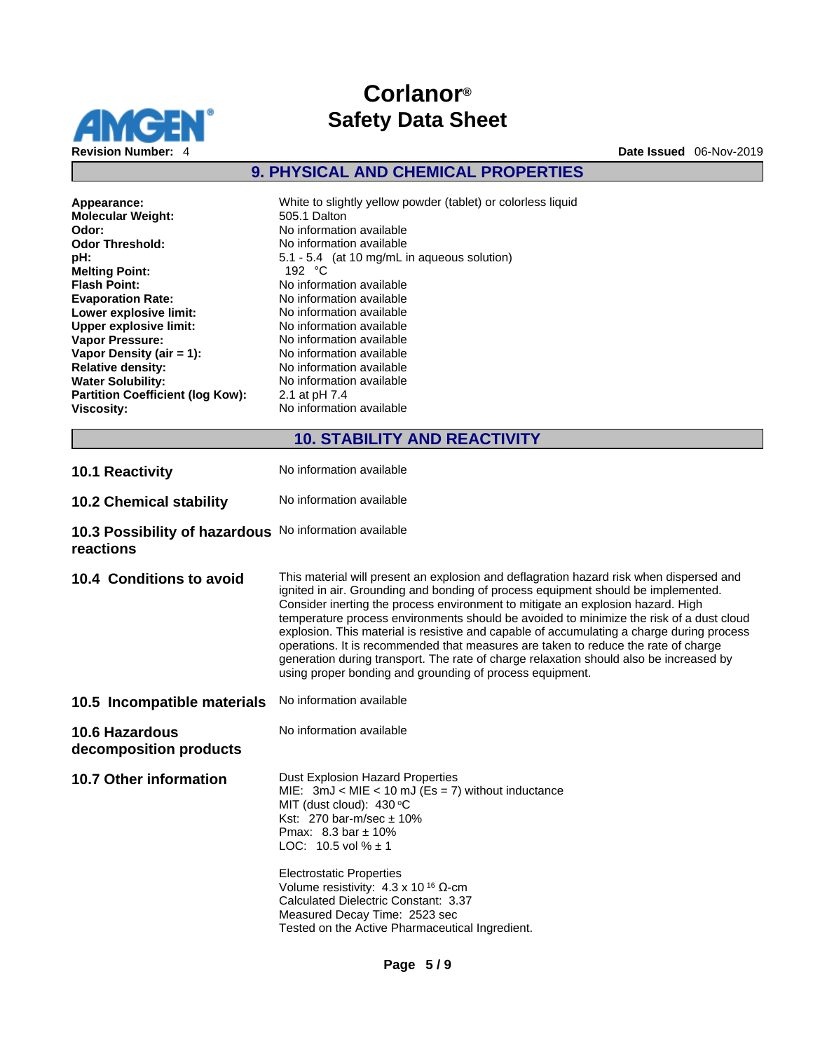

**9. PHYSICAL AND CHEMICAL PROPERTIES** 

| Appearance:                             | White to slightly yellow powder (tablet) or colorless liquid |
|-----------------------------------------|--------------------------------------------------------------|
| <b>Molecular Weight:</b>                | 505.1 Dalton                                                 |
| Odor:                                   | No information available                                     |
| <b>Odor Threshold:</b>                  | No information available                                     |
| pH:                                     | 5.1 - 5.4 (at 10 mg/mL in aqueous solution)                  |
| <b>Melting Point:</b>                   | 192 $\degree$ C                                              |
| <b>Flash Point:</b>                     | No information available                                     |
| <b>Evaporation Rate:</b>                | No information available                                     |
| Lower explosive limit:                  | No information available                                     |
| <b>Upper explosive limit:</b>           | No information available                                     |
| <b>Vapor Pressure:</b>                  | No information available                                     |
| Vapor Density (air $= 1$ ):             | No information available                                     |
| <b>Relative density:</b>                | No information available                                     |
| <b>Water Solubility:</b>                | No information available                                     |
| <b>Partition Coefficient (log Kow):</b> | 2.1 at pH 7.4                                                |
| <b>Viscosity:</b>                       | No information available                                     |
|                                         |                                                              |

# **10. STABILITY AND REACTIVITY**

**10.1 Reactivity No information available** 

10.2 Chemical stability No information available

**10.3 Possibility of hazardous**  No information available **reactions** 

| 10.4 Conditions to avoid                        | This material will present an explosion and deflagration hazard risk when dispersed and<br>ignited in air. Grounding and bonding of process equipment should be implemented.<br>Consider inerting the process environment to mitigate an explosion hazard. High<br>temperature process environments should be avoided to minimize the risk of a dust cloud<br>explosion. This material is resistive and capable of accumulating a charge during process<br>operations. It is recommended that measures are taken to reduce the rate of charge<br>generation during transport. The rate of charge relaxation should also be increased by<br>using proper bonding and grounding of process equipment. |
|-------------------------------------------------|-----------------------------------------------------------------------------------------------------------------------------------------------------------------------------------------------------------------------------------------------------------------------------------------------------------------------------------------------------------------------------------------------------------------------------------------------------------------------------------------------------------------------------------------------------------------------------------------------------------------------------------------------------------------------------------------------------|
| 10.5 Incompatible materials                     | No information available                                                                                                                                                                                                                                                                                                                                                                                                                                                                                                                                                                                                                                                                            |
| <b>10.6 Hazardous</b><br>decomposition products | No information available                                                                                                                                                                                                                                                                                                                                                                                                                                                                                                                                                                                                                                                                            |
| <b>10.7 Other information</b>                   | <b>Dust Explosion Hazard Properties</b><br>MIE: $3mJ < MIE < 10 mJ$ (Es = 7) without inductance<br>MIT (dust cloud): $430 °C$<br>Kst: $270 \text{ bar-m/sec} \pm 10\%$<br>Pmax: $8.3 \text{ bar} \pm 10\%$<br>LOC: 10.5 vol $% \pm 1$<br><b>Electrostatic Properties</b><br>Volume resistivity: $4.3 \times 10^{16}$ Q-cm<br>Calculated Dielectric Constant: 3.37<br>Measured Decay Time: 2523 sec<br>Tested on the Active Pharmaceutical Ingredient.                                                                                                                                                                                                                                               |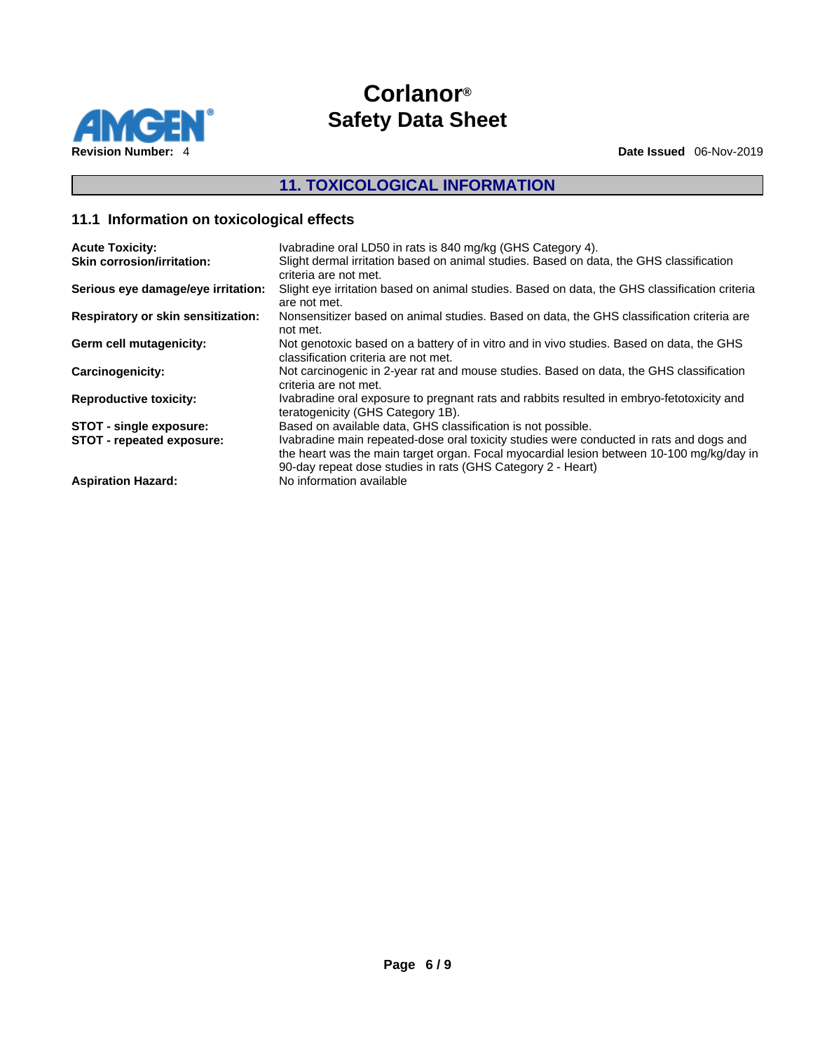

# **11. TOXICOLOGICAL INFORMATION**

# **11.1 Information on toxicological effects**

| <b>Acute Toxicity:</b>                    | Ivabradine oral LD50 in rats is 840 mg/kg (GHS Category 4).                                                                                                                                                                                        |
|-------------------------------------------|----------------------------------------------------------------------------------------------------------------------------------------------------------------------------------------------------------------------------------------------------|
| <b>Skin corrosion/irritation:</b>         | Slight dermal irritation based on animal studies. Based on data, the GHS classification<br>criteria are not met.                                                                                                                                   |
| Serious eye damage/eye irritation:        | Slight eye irritation based on animal studies. Based on data, the GHS classification criteria<br>are not met.                                                                                                                                      |
| <b>Respiratory or skin sensitization:</b> | Nonsensitizer based on animal studies. Based on data, the GHS classification criteria are<br>not met.                                                                                                                                              |
| Germ cell mutagenicity:                   | Not genotoxic based on a battery of in vitro and in vivo studies. Based on data, the GHS<br>classification criteria are not met.                                                                                                                   |
| Carcinogenicity:                          | Not carcinogenic in 2-year rat and mouse studies. Based on data, the GHS classification<br>criteria are not met.                                                                                                                                   |
| <b>Reproductive toxicity:</b>             | Ivabradine oral exposure to pregnant rats and rabbits resulted in embryo-fetotoxicity and<br>teratogenicity (GHS Category 1B).                                                                                                                     |
| STOT - single exposure:                   | Based on available data, GHS classification is not possible.                                                                                                                                                                                       |
| STOT - repeated exposure:                 | Ivabradine main repeated-dose oral toxicity studies were conducted in rats and dogs and<br>the heart was the main target organ. Focal myocardial lesion between 10-100 mg/kg/day in<br>90-day repeat dose studies in rats (GHS Category 2 - Heart) |
| <b>Aspiration Hazard:</b>                 | No information available                                                                                                                                                                                                                           |
|                                           |                                                                                                                                                                                                                                                    |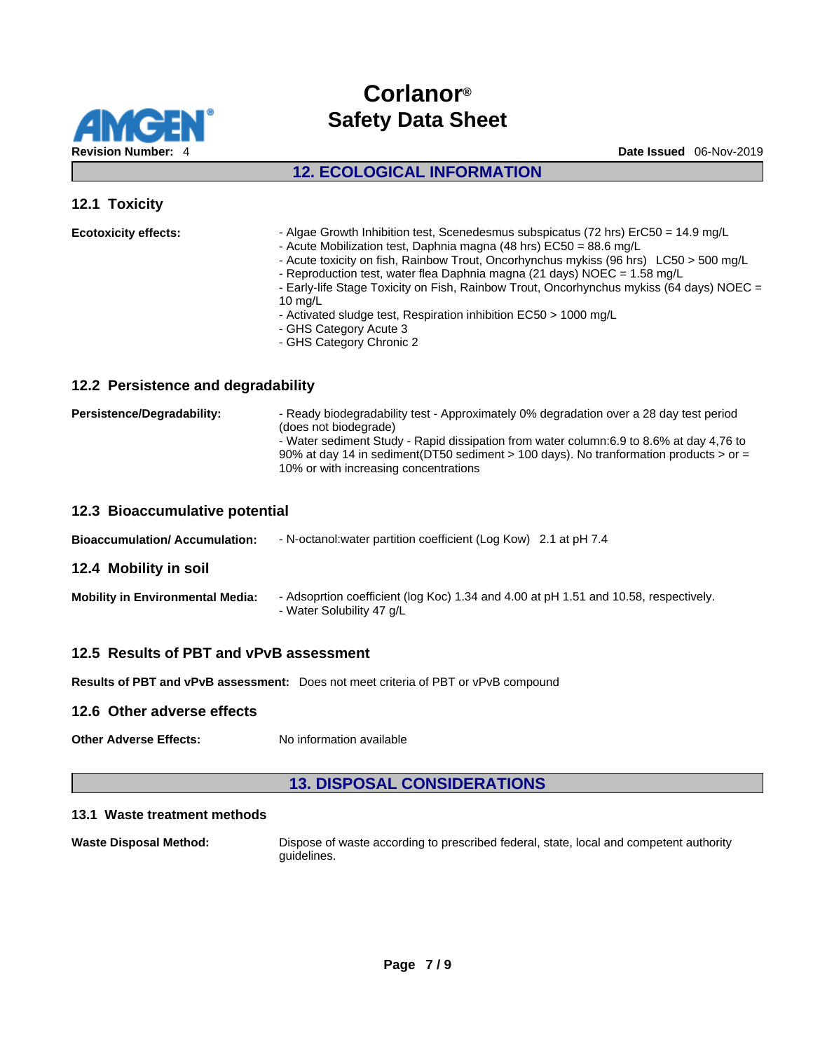

# **12. ECOLOGICAL INFORMATION**

### **12.1 Toxicity**

| - Algae Growth Inhibition test, Scenedesmus subspicatus (72 hrs) ErC50 = 14.9 mg/L<br><b>Ecotoxicity effects:</b><br>- Acute Mobilization test, Daphnia magna (48 hrs) EC50 = 88.6 mg/L<br>- Acute toxicity on fish, Rainbow Trout, Oncorhynchus mykiss (96 hrs) LC50 > 500 mg/L<br>- Reproduction test, water flea Daphnia magna (21 days) NOEC = 1.58 mg/L<br>- Early-life Stage Toxicity on Fish, Rainbow Trout, Oncorhynchus mykiss (64 days) NOEC =<br>10 $ma/L$<br>- Activated sludge test, Respiration inhibition EC50 > 1000 mg/L<br>- GHS Category Acute 3<br>- GHS Category Chronic 2 |  |
|-------------------------------------------------------------------------------------------------------------------------------------------------------------------------------------------------------------------------------------------------------------------------------------------------------------------------------------------------------------------------------------------------------------------------------------------------------------------------------------------------------------------------------------------------------------------------------------------------|--|
|-------------------------------------------------------------------------------------------------------------------------------------------------------------------------------------------------------------------------------------------------------------------------------------------------------------------------------------------------------------------------------------------------------------------------------------------------------------------------------------------------------------------------------------------------------------------------------------------------|--|

### **12.2 Persistence and degradability**

| Persistence/Degradability: | - Ready biodegradability test - Approximately 0% degradation over a 28 day test period<br>(does not biodegrade)<br>- Water sediment Study - Rapid dissipation from water column: 6.9 to 8.6% at day 4.76 to<br>90% at day 14 in sediment(DT50 sediment > 100 days). No tranformation products > or =<br>10% or with increasing concentrations |
|----------------------------|-----------------------------------------------------------------------------------------------------------------------------------------------------------------------------------------------------------------------------------------------------------------------------------------------------------------------------------------------|
|                            |                                                                                                                                                                                                                                                                                                                                               |

### **12.3 Bioaccumulative potential**

| <b>Bioaccumulation/Accumulation:</b> | - N-octanol: water partition coefficient (Log Kow) 2.1 at pH 7.4 |  |
|--------------------------------------|------------------------------------------------------------------|--|
|--------------------------------------|------------------------------------------------------------------|--|

### **12.4 Mobility in soil**

| <b>Mobility in Environmental Media:</b> | - Adsoprtion coefficient (log Koc) 1.34 and 4.00 at pH 1.51 and 10.58, respectively. |
|-----------------------------------------|--------------------------------------------------------------------------------------|
|                                         | - Water Solubility 47 g/L                                                            |

### **12.5 Results of PBT and vPvB assessment**

**Results of PBT and vPvB assessment:** Does not meet criteria of PBT or vPvB compound

### **12.6 Other adverse effects**

**Other Adverse Effects:** No information available

### **13. DISPOSAL CONSIDERATIONS**

#### **13.1 Waste treatment methods**

**Waste Disposal Method:** Dispose of waste according to prescribed federal, state, local and competent authority guidelines.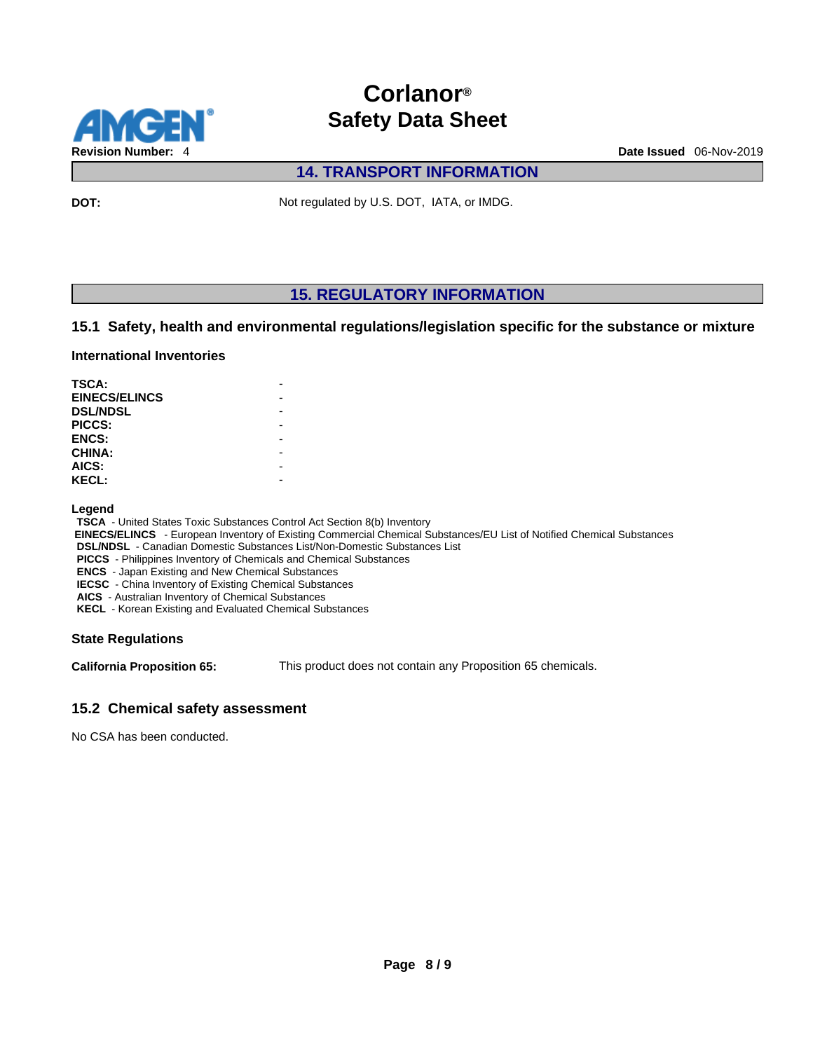

### **14. TRANSPORT INFORMATION**

**DOT:** Not regulated by U.S. DOT, IATA, or IMDG.

### **15. REGULATORY INFORMATION**

### **15.1 Safety, health and environmental regulations/legislation specific for the substance or mixture**

### **International Inventories**

| <b>TSCA:</b>         |  |
|----------------------|--|
| <b>EINECS/ELINCS</b> |  |
| <b>DSL/NDSL</b>      |  |
| PICCS:               |  |
| <b>ENCS:</b>         |  |
| <b>CHINA:</b>        |  |
| AICS:                |  |
| <b>KECL:</b>         |  |

#### **Legend**

**TSCA** - United States Toxic Substances Control Act Section 8(b) Inventory

 **EINECS/ELINCS** - European Inventory of Existing Commercial Chemical Substances/EU List of Notified Chemical Substances

**DSL/NDSL** - Canadian Domestic Substances List/Non-Domestic Substances List

**PICCS** - Philippines Inventory of Chemicals and Chemical Substances

**ENCS** - Japan Existing and New Chemical Substances

**IECSC** - China Inventory of Existing Chemical Substances

**AICS** - Australian Inventory of Chemical Substances

**KECL** - Korean Existing and Evaluated Chemical Substances

### **State Regulations**

**California Proposition 65:** This product does not contain any Proposition 65 chemicals.

### **15.2 Chemical safety assessment**

No CSA has been conducted.